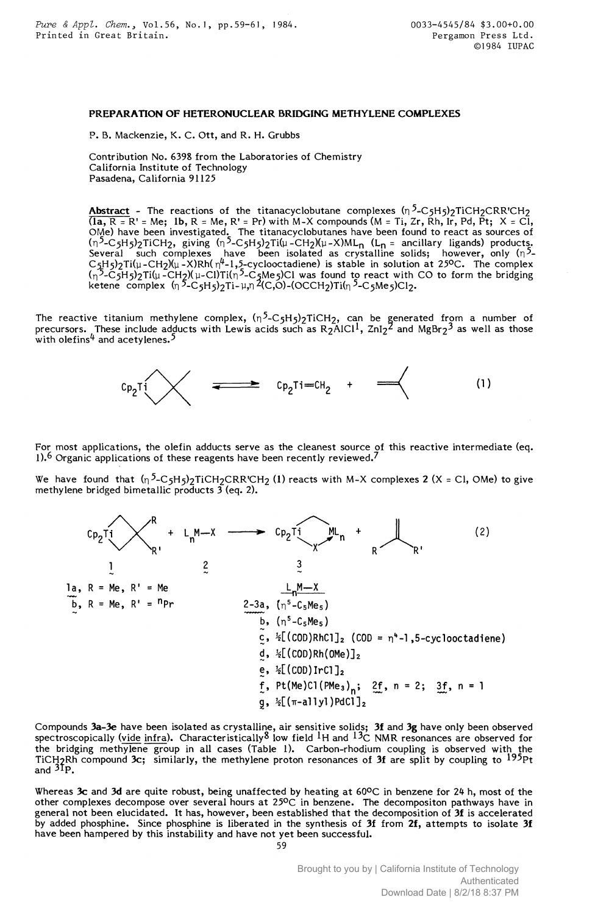## PREPARATION OF HETERONUCLEAR BRIDGING METHYLENE COMPLEXES

P. B. Mackenzie, K. C. Ott, and R. H. Grubbs

Contribution No. 6398 from the Laboratories of Chemistry California Institute of Technology Pasadena, California 91125

<code>Abstract -</code> The reactions of the titanacyclobutane complexes (n<sup>5</sup>-C5H5)2TiCH2CRR'CH2  $(1a, R = R' = Me; 1b, R = Me, R' = Pr)$  with M-X compounds  $(M = Ti, Zr, Rh, Ir, Pd, Pt; X = Cl,$ OMe) have been investigated. The titanacyclobutanes have been found to react as sources of (n<sup>2</sup>-C5H5)2TiCH2, giving (n<sup>2</sup>-C5H5)2Ti(µ-CH2)(µ-X)ML<sub>n</sub> (L<sub>n</sub> = ancillary ligands) products. Several such complexes have been isolated as crystalline solids; however, only (n<sup>2</sup>-C~H5)2Ti(µ-CH2)(µ-X)Rh( n4-l,5-cyclooctadiene) is stable in solution at *25oc.* The complex (n<sup>2</sup>-C5H5)2Ti(µ-CH2)(µ-Cl)Ti(n<sup>2</sup>-C<sub>2</sub>Me5)Cl was found to react with CO to form the bridging ketene complex (n <sup>2</sup>-C5H5)2Ti-µ,n 4(C,O)-(OCCH2)Ti(n <sup>2</sup>-C5Me5)Cl2.

The reactive titanium methylene complex, (n<sup>2</sup>-C5H5)2TiCH2, can be generated from a number of precursors. These include adducts with Lewis acids such as R2AlCl<sup>1</sup>, ZnI2<sup>2</sup> and MgBr2<sup>3</sup> as well as those with olefins $^4$  and acetylenes. $^5$ 



For most applications, the olefin adducts serve as the cleanest source of this reactive intermediate (eq. 1).<sup>6</sup> Organic applications of these reagents have been recently reviewed.<sup>7</sup>

We have found that  $(n^5-C_5H_5)$ <sub>2</sub>TiCH<sub>2</sub>CRR'CH<sub>2</sub> (1) reacts with M-X complexes 2 (X = Cl, OMe) to give methylene bridged bimetallic products  $\overline{3}$  (eq. 2).

\n
$$
C_{P_2}T_1
$$
\n $R$ \n $R = Me, R'$ \n $R'$ \n $C_{P_2}T_1$ \n $C_{P_2}T_1$ \n $C_{P_2}T_1$ \n $C_{P_2}T_1$ \n $C_{P_2}T_1$ \n $C_{P_2}T_1$ \n $C_{P_2}T_1$ \n $C_{P_2}T_1$ \n $C_{P_2}T_1$ \n $C_{P_2}T_1$ \n $C_{P_2}T_1$ \n $C_{P_2}T_1$ \n $C_{P_2}T_1$ \n $C_{P_2}T_1$ \n $C_{P_2}T_1$ \n $C_{P_2}T_1$ \n $C_{P_2}T_1$ \n $C_{P_2}T_1$ \n $C_{P_2}T_1$ \n $C_{P_2}T_1$ \n $C_{P_2}T_1$ \n $C_{P_2}T_1$ \n $C_{P_2}T_1$ \n $C_{P_2}T_1$ \n $C_{P_2}T_1$ \n $C_{P_2}T_1$ \n $C_{P_2}T_1$ \n $C_{P_2}T_1$ \n $C_{P_2}T_1$ \n $C_{P_2}T_1$ \n $C_{P_2}T_1$ \n $C_{P_2}T_1$ \n $C_{P_2}T_1$ \n $C_{P_2}T_1$ \n $C_{P_2}T_1$ \n $C_{P_2}T_1$ \n $C_{P_2}T_1$ \n $C_{P_2}T_1$ \n $C_{P_2}T_1$ \n $C_{P_2}T_1$ \n $C_{P_2}T_1$ \n $C_{P_2}T_1$ \n $C_{P_2}T_1$ \n $C_{P_2}T_1$ \n $C_{P_2}T_1$ \n $C_{P_2}T_1$ \n $C_{P_2}T_1$ \n $C_{P_2}T_1$ \n

Compounds 3a–3e have been isolated as crystalline, air sensitive solids; 3f and 3g have only been observed spectroscopically (vide infra). Characteristically  $8$  low field  $^1$ H and  $^13$ C NMR resonances are observed for the bridging methylene group in all cases (Table 1). Carbon-rhodium coupling is observed with the TiCH<sub>2</sub>Rh compound 3c; similarly, the methylene proton resonances of 3f are split by coupling to  $^{195}\rm{Pt}$ and  ${}^{31}P$ .

Whereas 3c and 3d are quite robust, being unaffected by heating at  $60^{\circ}$ C in benzene for 24 h, most of the other complexes decompose over several hours at *25oc* in benzene. The decompositon pathways have in general not been elucidated. It has, however, been established that the decomposition of 31 is accelerated by added phosphine. Since phosphine is liberated in the synthesis of 3f from 2f, attempts to isolate 3f have been hampered by this instability and have not yet been successful.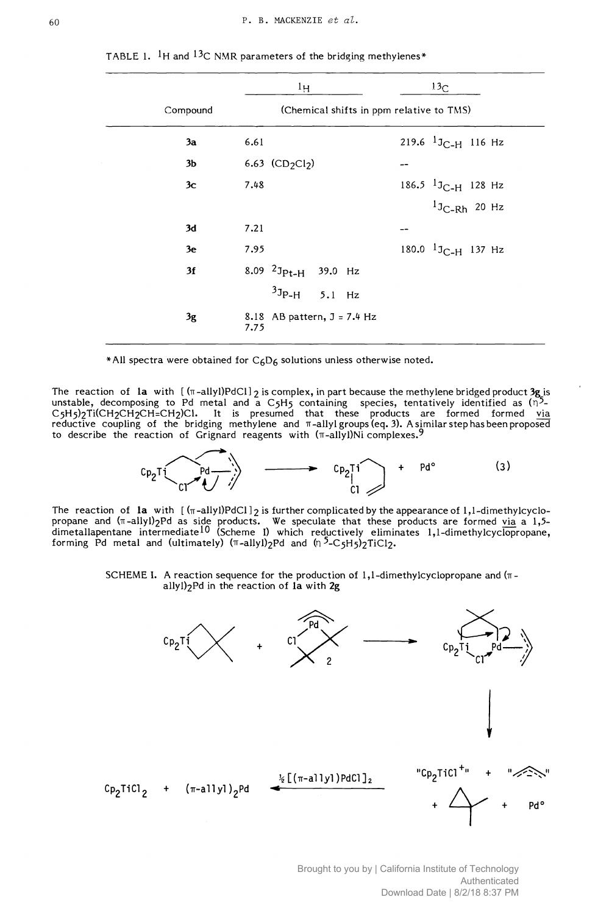|                | $1_H$                                    | 13 <sub>C</sub>         |
|----------------|------------------------------------------|-------------------------|
| Compound       | (Chemical shifts in ppm relative to TMS) |                         |
| 3a             | 6.61                                     | 219.6 $1J_{C-H}$ 116 Hz |
| 3 <sub>b</sub> | 6.63 $(CD_2Cl_2)$                        |                         |
| 3c             | 7.48                                     | 186.5 $13C-H$ 128 Hz    |
|                |                                          | $1J_{C-Rh}$ 20 Hz       |
| 3d             | 7.21                                     | --                      |
| 3e             | 7.95                                     | 180.0 $1J_{C-H}$ 137 Hz |
| 3f             | 8.09 $2J_{Pt-H}$ 39.0 Hz                 |                         |
|                | $3J_{P-H}$ 5.1 Hz                        |                         |
| 3g             | 8.18 AB pattern, $J = 7.4$ Hz<br>7.75    |                         |

TABLE 1.  $\frac{1}{1}$ H and  $\frac{13}{C}$  NMR parameters of the bridging methylenes\*

\*All spectra were obtained for  $C_6D_6$  solutions unless otherwise noted.

The reaction of la with  $[(\pi-\text{ally})PdCl]_2$  is complex, in part because the methylene bridged product 3g is unstable, decomposing to Pd metal and a C5H5 containing species, tentatively identified as ( $\overline{n}$ 5-C5H5)2Ti(CH2CH2CH=CH2)Cl. It is presumed that these products are formed formed <u>via</u> reductive coupling of the bridging methylene and  $\pi$ -allyl $\mathsf{groups}$  (eq. 3). A similar step has been proposed to describe the reaction of Grignard reagents with  $(\pi$ -allyl)Ni complexes.<sup>9</sup>



The reaction of la with  $[(\pi$ -allyl)PdCl  $]_2$  is further complicated by the appearance of 1,1-dimethylcyclopropane and ( $\pi$ -allyl) $_2$ Pd as side products. We speculate that these products are formed  $\rm{via}$  a 1,5dimetallapentane intermediate<sup>10</sup> (Scheme I) which reductively eliminates 1,1-dimethylcyclopropane, forming Pd metal and (ultimately) ( $\pi$ -allyl)<sub>2</sub>Pd and  $(n^5-C_5H_5)$ <sub>2</sub>TiCl<sub>2</sub>.

> SCHEME I. A reaction sequence for the production of  $1,1$ -dimethylcyclopropane and  $(\pi$ allyl)2Pd in the reaction of la with 2g



Brought to you by | California Institute of Technology Authenticated Download Date | 8/2/18 8:37 PM